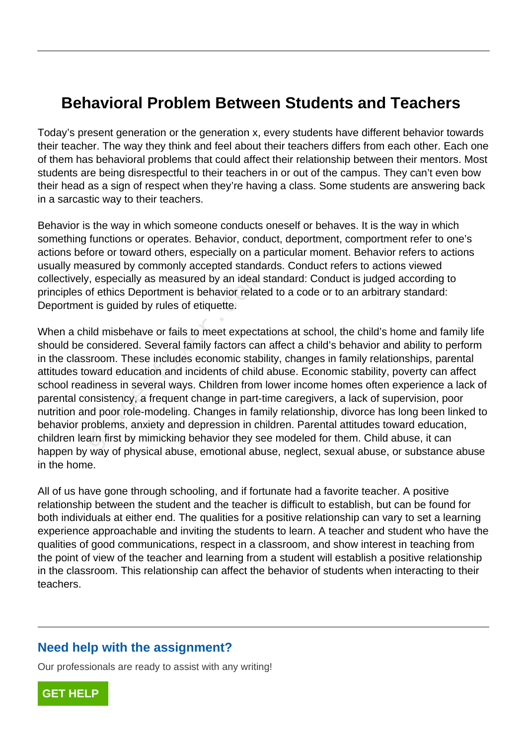## **Behavioral Problem Between Students and Teachers**

Today's present generation or the generation x, every students have different behavior towards their teacher. The way they think and feel about their teachers differs from each other. Each one of them has behavioral problems that could affect their relationship between their mentors. Most students are being disrespectful to their teachers in or out of the campus. They can't even bow their head as a sign of respect when they're having a class. Some students are answering back in a sarcastic way to their teachers.

Behavior is the way in which someone conducts oneself or behaves. It is the way in which something functions or operates. Behavior, conduct, deportment, comportment refer to one's actions before or toward others, especially on a particular moment. Behavior refers to actions usually measured by commonly accepted standards. Conduct refers to actions viewed collectively, especially as measured by an ideal standard: Conduct is judged according to principles of ethics Deportment is behavior related to a code or to an arbitrary standard: Deportment is guided by rules of etiquette.

When a child misbehave or fails to meet expectations at school, the child's home and family life should be considered. Several family factors can affect a child's behavior and ability to perform in the classroom. These includes economic stability, changes in family relationships, parental attitudes toward education and incidents of child abuse. Economic stability, poverty can affect school readiness in several ways. Children from lower income homes often experience a lack of parental consistency, a frequent change in part-time caregivers, a lack of supervision, poor nutrition and poor role-modeling. Changes in family relationship, divorce has long been linked to behavior problems, anxiety and depression in children. Parental attitudes toward education, children learn first by mimicking behavior they see modeled for them. Child abuse, it can happen by way of physical abuse, emotional abuse, neglect, sexual abuse, or substance abuse in the home. r, especially as measured by an ideal s<br>of ethics Deportment is behavior relate<br>at is guided by rules of etiquette.<br>ild misbehave or fails to meet expectat<br>considered. Several family factors can<br>sroom. These includes econo

All of us have gone through schooling, and if fortunate had a favorite teacher. A positive relationship between the student and the teacher is difficult to establish, but can be found for both individuals at either end. The qualities for a positive relationship can vary to set a learning experience approachable and inviting the students to learn. A teacher and student who have the qualities of good communications, respect in a classroom, and show interest in teaching from the point of view of the teacher and learning from a student will establish a positive relationship in the classroom. This relationship can affect the behavior of students when interacting to their teachers.

## **Need help with the assignment?**

Our professionals are ready to assist with any writing!

**[GET HELP](https://my.gradesfixer.com/order?utm_campaign=pdf_sample)**